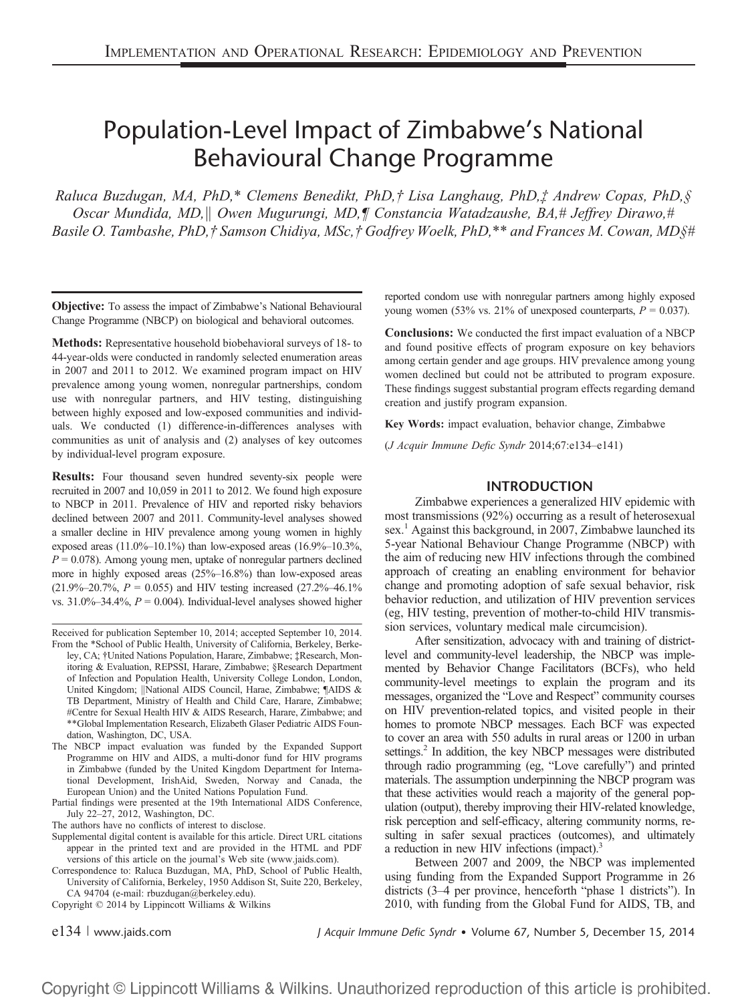# Population-Level Impact of Zimbabwe's National Behavioural Change Programme

Raluca Buzdugan, MA, PhD,\* Clemens Benedikt, PhD,† Lisa Langhaug, PhD,‡ Andrew Copas, PhD,§ Oscar Mundida, MD, | Owen Mugurungi, MD, | Constancia Watadzaushe, BA,# Jeffrey Dirawo,# Basile O. Tambashe, PhD,† Samson Chidiya, MSc,† Godfrey Woelk, PhD,\*\* and Frances M. Cowan, MD§#

Objective: To assess the impact of Zimbabwe's National Behavioural Change Programme (NBCP) on biological and behavioral outcomes.

Methods: Representative household biobehavioral surveys of 18- to 44-year-olds were conducted in randomly selected enumeration areas in 2007 and 2011 to 2012. We examined program impact on HIV prevalence among young women, nonregular partnerships, condom use with nonregular partners, and HIV testing, distinguishing between highly exposed and low-exposed communities and individuals. We conducted (1) difference-in-differences analyses with communities as unit of analysis and (2) analyses of key outcomes by individual-level program exposure.

Results: Four thousand seven hundred seventy-six people were recruited in 2007 and 10,059 in 2011 to 2012. We found high exposure to NBCP in 2011. Prevalence of HIV and reported risky behaviors declined between 2007 and 2011. Community-level analyses showed a smaller decline in HIV prevalence among young women in highly exposed areas  $(11.0\% - 10.1\%)$  than low-exposed areas  $(16.9\% - 10.3\%)$  $P = 0.078$ ). Among young men, uptake of nonregular partners declined more in highly exposed areas (25%–16.8%) than low-exposed areas  $(21.9\% - 20.7\%, P = 0.055)$  and HIV testing increased  $(27.2\% - 46.1\%)$ vs.  $31.0\% - 34.4\%$ ,  $P = 0.004$ ). Individual-level analyses showed higher

Supplemental digital content is available for this article. Direct URL citations appear in the printed text and are provided in the HTML and PDF versions of this article on the journal's Web site (www.jaids.com).

Correspondence to: Raluca Buzdugan, MA, PhD, School of Public Health, University of California, Berkeley, 1950 Addison St, Suite 220, Berkeley, CA 94704 ([e-mail: rbuzdugan@berkeley.edu](mailto:e-mail: rbuzdugan@berkeley.edu)).

Copyright © 2014 by Lippincott Williams & Wilkins

reported condom use with nonregular partners among highly exposed young women (53% vs. 21% of unexposed counterparts,  $P = 0.037$ ).

Conclusions: We conducted the first impact evaluation of a NBCP and found positive effects of program exposure on key behaviors among certain gender and age groups. HIV prevalence among young women declined but could not be attributed to program exposure. These findings suggest substantial program effects regarding demand creation and justify program expansion.

Key Words: impact evaluation, behavior change, Zimbabwe

(J Acquir Immune Defic Syndr 2014;67:e134–e141)

### **INTRODUCTION**

Zimbabwe experiences a generalized HIV epidemic with most transmissions (92%) occurring as a result of heterosexual sex.<sup>1</sup> Against this background, in 2007, Zimbabwe launched its 5-year National Behaviour Change Programme (NBCP) with the aim of reducing new HIV infections through the combined approach of creating an enabling environment for behavior change and promoting adoption of safe sexual behavior, risk behavior reduction, and utilization of HIV prevention services (eg, HIV testing, prevention of mother-to-child HIV transmission services, voluntary medical male circumcision).

After sensitization, advocacy with and training of districtlevel and community-level leadership, the NBCP was implemented by Behavior Change Facilitators (BCFs), who held community-level meetings to explain the program and its messages, organized the "Love and Respect" community courses on HIV prevention-related topics, and visited people in their homes to promote NBCP messages. Each BCF was expected to cover an area with 550 adults in rural areas or 1200 in urban settings.<sup>2</sup> In addition, the key NBCP messages were distributed through radio programming (eg, "Love carefully") and printed materials. The assumption underpinning the NBCP program was that these activities would reach a majority of the general population (output), thereby improving their HIV-related knowledge, risk perception and self-efficacy, altering community norms, resulting in safer sexual practices (outcomes), and ultimately a reduction in new HIV infections (impact).<sup>3</sup>

Between 2007 and 2009, the NBCP was implemented using funding from the Expanded Support Programme in 26 districts (3–4 per province, henceforth "phase 1 districts"). In 2010, with funding from the Global Fund for AIDS, TB, and

e $134$  | www.jaids.com J Acquir Immune Defic Syndr • Volume 67, Number 5, December 15, 2014

Received for publication September 10, 2014; accepted September 10, 2014. From the \*School of Public Health, University of California, Berkeley, Berkeley, CA; †United Nations Population, Harare, Zimbabwe; ‡Research, Monitoring & Evaluation, REPSSI, Harare, Zimbabwe; §Research Department of Infection and Population Health, University College London, London, United Kingdom; ||National AIDS Council, Harae, Zimbabwe; ¶AIDS & TB Department, Ministry of Health and Child Care, Harare, Zimbabwe; #Centre for Sexual Health HIV & AIDS Research, Harare, Zimbabwe; and \*\*Global Implementation Research, Elizabeth Glaser Pediatric AIDS Foundation, Washington, DC, USA.

The NBCP impact evaluation was funded by the Expanded Support Programme on HIV and AIDS, a multi-donor fund for HIV programs in Zimbabwe (funded by the United Kingdom Department for International Development, IrishAid, Sweden, Norway and Canada, the European Union) and the United Nations Population Fund.

Partial findings were presented at the 19th International AIDS Conference, July 22–27, 2012, Washington, DC.

The authors have no conflicts of interest to disclose.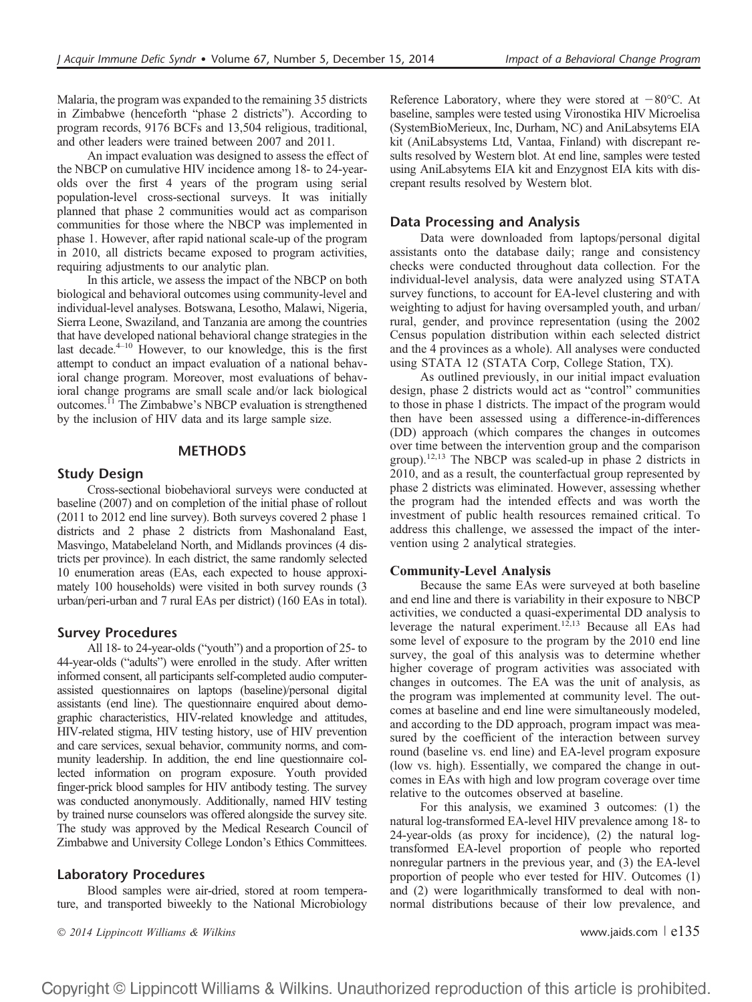Malaria, the program was expanded to the remaining 35 districts in Zimbabwe (henceforth "phase 2 districts"). According to program records, 9176 BCFs and 13,504 religious, traditional, and other leaders were trained between 2007 and 2011.

An impact evaluation was designed to assess the effect of the NBCP on cumulative HIV incidence among 18- to 24-yearolds over the first 4 years of the program using serial population-level cross-sectional surveys. It was initially planned that phase 2 communities would act as comparison communities for those where the NBCP was implemented in phase 1. However, after rapid national scale-up of the program in 2010, all districts became exposed to program activities, requiring adjustments to our analytic plan.

In this article, we assess the impact of the NBCP on both biological and behavioral outcomes using community-level and individual-level analyses. Botswana, Lesotho, Malawi, Nigeria, Sierra Leone, Swaziland, and Tanzania are among the countries that have developed national behavioral change strategies in the last decade. $4-10$  However, to our knowledge, this is the first attempt to conduct an impact evaluation of a national behavioral change program. Moreover, most evaluations of behavioral change programs are small scale and/or lack biological outcomes.11 The Zimbabwe's NBCP evaluation is strengthened by the inclusion of HIV data and its large sample size.

# **METHODS**

### Study Design

Cross-sectional biobehavioral surveys were conducted at baseline (2007) and on completion of the initial phase of rollout (2011 to 2012 end line survey). Both surveys covered 2 phase 1 districts and 2 phase 2 districts from Mashonaland East, Masvingo, Matabeleland North, and Midlands provinces (4 districts per province). In each district, the same randomly selected 10 enumeration areas (EAs, each expected to house approximately 100 households) were visited in both survey rounds (3 urban/peri-urban and 7 rural EAs per district) (160 EAs in total).

#### Survey Procedures

All 18- to 24-year-olds ("youth") and a proportion of 25- to 44-year-olds ("adults") were enrolled in the study. After written informed consent, all participants self-completed audio computerassisted questionnaires on laptops (baseline)/personal digital assistants (end line). The questionnaire enquired about demographic characteristics, HIV-related knowledge and attitudes, HIV-related stigma, HIV testing history, use of HIV prevention and care services, sexual behavior, community norms, and community leadership. In addition, the end line questionnaire collected information on program exposure. Youth provided finger-prick blood samples for HIV antibody testing. The survey was conducted anonymously. Additionally, named HIV testing by trained nurse counselors was offered alongside the survey site. The study was approved by the Medical Research Council of Zimbabwe and University College London's Ethics Committees.

# Laboratory Procedures

Blood samples were air-dried, stored at room temperature, and transported biweekly to the National Microbiology

Reference Laboratory, where they were stored at  $-80^{\circ}$ C. At baseline, samples were tested using Vironostika HIV Microelisa (SystemBioMerieux, Inc, Durham, NC) and AniLabsytems EIA kit (AniLabsystems Ltd, Vantaa, Finland) with discrepant results resolved by Western blot. At end line, samples were tested using AniLabsytems EIA kit and Enzygnost EIA kits with discrepant results resolved by Western blot.

### Data Processing and Analysis

Data were downloaded from laptops/personal digital assistants onto the database daily; range and consistency checks were conducted throughout data collection. For the individual-level analysis, data were analyzed using STATA survey functions, to account for EA-level clustering and with weighting to adjust for having oversampled youth, and urban/ rural, gender, and province representation (using the 2002 Census population distribution within each selected district and the 4 provinces as a whole). All analyses were conducted using STATA 12 (STATA Corp, College Station, TX).

As outlined previously, in our initial impact evaluation design, phase 2 districts would act as "control" communities to those in phase 1 districts. The impact of the program would then have been assessed using a difference-in-differences (DD) approach (which compares the changes in outcomes over time between the intervention group and the comparison group).12,13 The NBCP was scaled-up in phase 2 districts in 2010, and as a result, the counterfactual group represented by phase 2 districts was eliminated. However, assessing whether the program had the intended effects and was worth the investment of public health resources remained critical. To address this challenge, we assessed the impact of the intervention using 2 analytical strategies.

#### Community-Level Analysis

Because the same EAs were surveyed at both baseline and end line and there is variability in their exposure to NBCP activities, we conducted a quasi-experimental DD analysis to leverage the natural experiment.<sup>12,13</sup> Because all EAs had some level of exposure to the program by the 2010 end line survey, the goal of this analysis was to determine whether higher coverage of program activities was associated with changes in outcomes. The EA was the unit of analysis, as the program was implemented at community level. The outcomes at baseline and end line were simultaneously modeled, and according to the DD approach, program impact was measured by the coefficient of the interaction between survey round (baseline vs. end line) and EA-level program exposure (low vs. high). Essentially, we compared the change in outcomes in EAs with high and low program coverage over time relative to the outcomes observed at baseline.

For this analysis, we examined 3 outcomes: (1) the natural log-transformed EA-level HIV prevalence among 18- to 24-year-olds (as proxy for incidence), (2) the natural logtransformed EA-level proportion of people who reported nonregular partners in the previous year, and (3) the EA-level proportion of people who ever tested for HIV. Outcomes (1) and (2) were logarithmically transformed to deal with nonnormal distributions because of their low prevalence, and

 $\degree$  2014 Lippincott Williams & Wilkins www.jaids.com  $\degree$  e135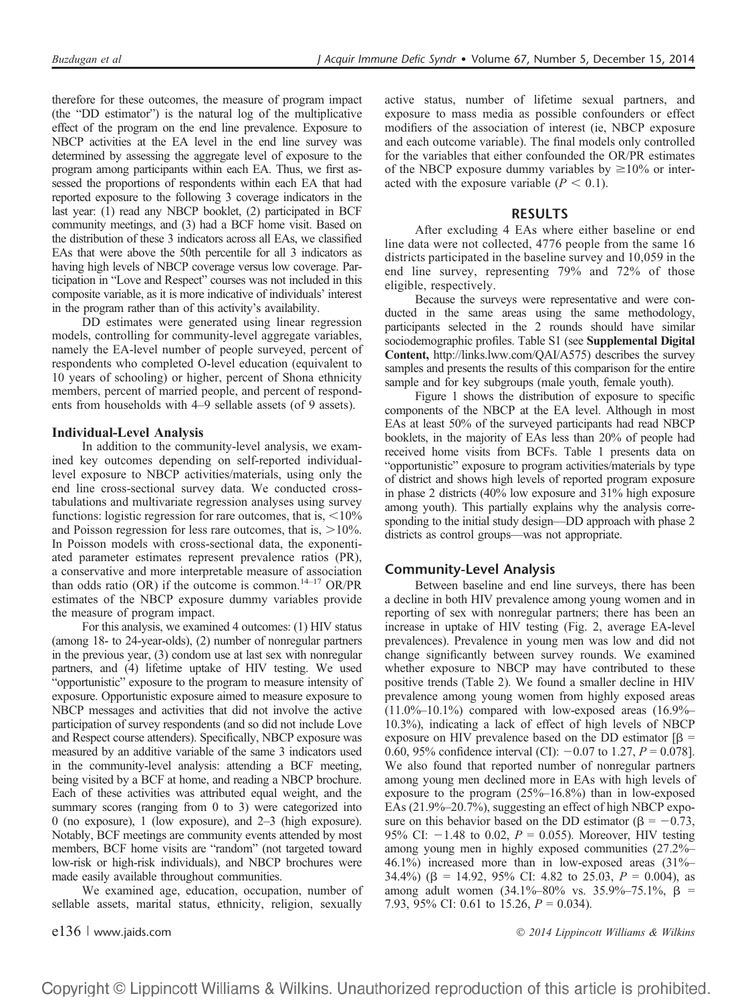therefore for these outcomes, the measure of program impact (the "DD estimator") is the natural log of the multiplicative effect of the program on the end line prevalence. Exposure to NBCP activities at the EA level in the end line survey was determined by assessing the aggregate level of exposure to the program among participants within each EA. Thus, we first assessed the proportions of respondents within each EA that had reported exposure to the following 3 coverage indicators in the last year: (1) read any NBCP booklet, (2) participated in BCF community meetings, and (3) had a BCF home visit. Based on the distribution of these 3 indicators across all EAs, we classified EAs that were above the 50th percentile for all 3 indicators as having high levels of NBCP coverage versus low coverage. Participation in "Love and Respect" courses was not included in this composite variable, as it is more indicative of individuals' interest in the program rather than of this activity's availability.

DD estimates were generated using linear regression models, controlling for community-level aggregate variables, namely the EA-level number of people surveyed, percent of respondents who completed O-level education (equivalent to 10 years of schooling) or higher, percent of Shona ethnicity members, percent of married people, and percent of respondents from households with 4–9 sellable assets (of 9 assets).

### Individual-Level Analysis

In addition to the community-level analysis, we examined key outcomes depending on self-reported individuallevel exposure to NBCP activities/materials, using only the end line cross-sectional survey data. We conducted crosstabulations and multivariate regression analyses using survey functions: logistic regression for rare outcomes, that is,  $\langle 10\%$ and Poisson regression for less rare outcomes, that is,  $>10\%$ . In Poisson models with cross-sectional data, the exponentiated parameter estimates represent prevalence ratios (PR), a conservative and more interpretable measure of association than odds ratio (OR) if the outcome is common.<sup>14–17</sup> OR/PR estimates of the NBCP exposure dummy variables provide the measure of program impact.

For this analysis, we examined 4 outcomes: (1) HIV status (among 18- to 24-year-olds), (2) number of nonregular partners in the previous year, (3) condom use at last sex with nonregular partners, and (4) lifetime uptake of HIV testing. We used "opportunistic" exposure to the program to measure intensity of exposure. Opportunistic exposure aimed to measure exposure to NBCP messages and activities that did not involve the active participation of survey respondents (and so did not include Love and Respect course attenders). Specifically, NBCP exposure was measured by an additive variable of the same 3 indicators used in the community-level analysis: attending a BCF meeting, being visited by a BCF at home, and reading a NBCP brochure. Each of these activities was attributed equal weight, and the summary scores (ranging from 0 to 3) were categorized into 0 (no exposure), 1 (low exposure), and 2–3 (high exposure). Notably, BCF meetings are community events attended by most members, BCF home visits are "random" (not targeted toward low-risk or high-risk individuals), and NBCP brochures were made easily available throughout communities.

We examined age, education, occupation, number of sellable assets, marital status, ethnicity, religion, sexually

active status, number of lifetime sexual partners, and exposure to mass media as possible confounders or effect modifiers of the association of interest (ie, NBCP exposure and each outcome variable). The final models only controlled for the variables that either confounded the OR/PR estimates of the NBCP exposure dummy variables by  $\geq 10\%$  or interacted with the exposure variable  $(P < 0.1)$ .

#### RESULTS

After excluding 4 EAs where either baseline or end line data were not collected, 4776 people from the same 16 districts participated in the baseline survey and 10,059 in the end line survey, representing 79% and 72% of those eligible, respectively.

Because the surveys were representative and were conducted in the same areas using the same methodology, participants selected in the 2 rounds should have similar sociodemographic profiles. Table S1 (see Supplemental Digital Content, http://links.lww.com/QAI/A575) describes the survey samples and presents the results of this comparison for the entire sample and for key subgroups (male youth, female youth).

Figure 1 shows the distribution of exposure to specific components of the NBCP at the EA level. Although in most EAs at least 50% of the surveyed participants had read NBCP booklets, in the majority of EAs less than 20% of people had received home visits from BCFs. Table 1 presents data on "opportunistic" exposure to program activities/materials by type of district and shows high levels of reported program exposure in phase 2 districts (40% low exposure and 31% high exposure among youth). This partially explains why the analysis corresponding to the initial study design—DD approach with phase 2 districts as control groups—was not appropriate.

# Community-Level Analysis

Between baseline and end line surveys, there has been a decline in both HIV prevalence among young women and in reporting of sex with nonregular partners; there has been an increase in uptake of HIV testing (Fig. 2, average EA-level prevalences). Prevalence in young men was low and did not change significantly between survey rounds. We examined whether exposure to NBCP may have contributed to these positive trends (Table 2). We found a smaller decline in HIV prevalence among young women from highly exposed areas  $(11.0\% - 10.1\%)$  compared with low-exposed areas  $(16.9\% -$ 10.3%), indicating a lack of effect of high levels of NBCP exposure on HIV prevalence based on the DD estimator  $\beta$  = 0.60, 95% confidence interval (CI):  $-0.07$  to 1.27,  $P = 0.078$ ]. We also found that reported number of nonregular partners among young men declined more in EAs with high levels of exposure to the program (25%–16.8%) than in low-exposed EAs (21.9%–20.7%), suggesting an effect of high NBCP exposure on this behavior based on the DD estimator ( $\beta = -0.73$ , 95% CI:  $-1.48$  to 0.02,  $P = 0.055$ ). Moreover, HIV testing among young men in highly exposed communities (27.2%– 46.1%) increased more than in low-exposed areas (31%– 34.4%) ( $\beta$  = 14.92, 95% CI: 4.82 to 25.03,  $P = 0.004$ ), as among adult women  $(34.1\% - 80\% \text{ vs. } 35.9\% - 75.1\%, \beta =$ 7.93, 95% CI: 0.61 to 15.26,  $P = 0.034$ ).

e136 | www.jaids.com 2014 Lippincott Williams & Wilkins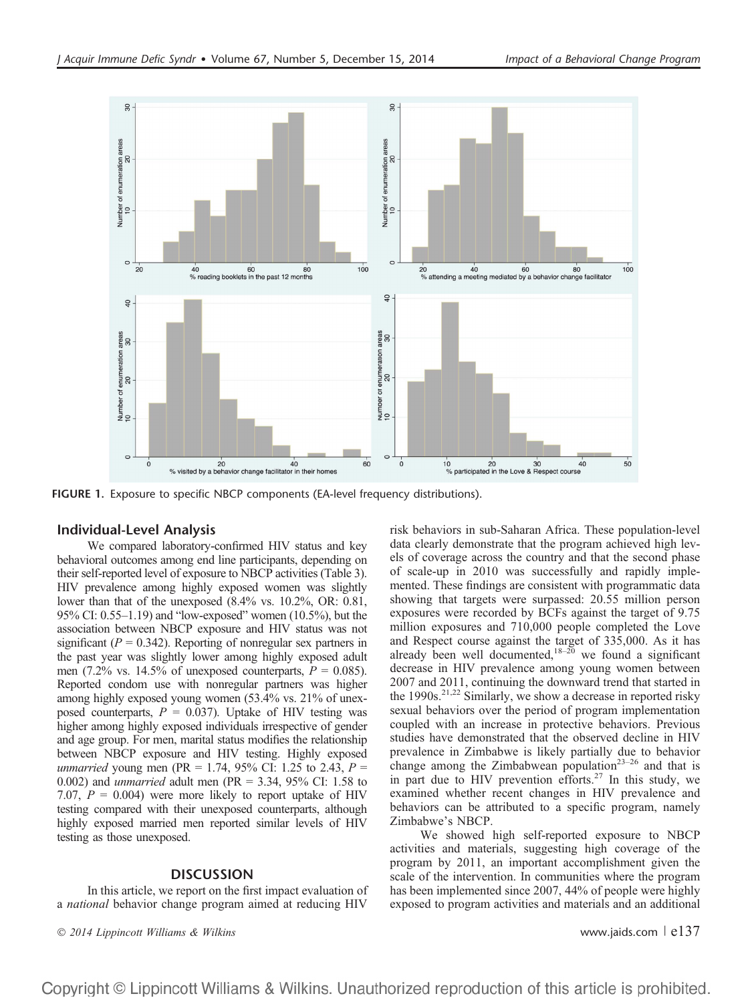

FIGURE 1. Exposure to specific NBCP components (EA-level frequency distributions).

# Individual-Level Analysis

We compared laboratory-confirmed HIV status and key behavioral outcomes among end line participants, depending on their self-reported level of exposure to NBCP activities (Table 3). HIV prevalence among highly exposed women was slightly lower than that of the unexposed (8.4% vs. 10.2%, OR: 0.81, 95% CI: 0.55–1.19) and "low-exposed" women (10.5%), but the association between NBCP exposure and HIV status was not significant ( $P = 0.342$ ). Reporting of nonregular sex partners in the past year was slightly lower among highly exposed adult men (7.2% vs. 14.5% of unexposed counterparts,  $P = 0.085$ ). Reported condom use with nonregular partners was higher among highly exposed young women (53.4% vs. 21% of unexposed counterparts,  $P = 0.037$ . Uptake of HIV testing was higher among highly exposed individuals irrespective of gender and age group. For men, marital status modifies the relationship between NBCP exposure and HIV testing. Highly exposed *unmarried* young men (PR = 1.74, 95% CI: 1.25 to 2.43,  $P =$ 0.002) and unmarried adult men (PR = 3.34, 95% CI: 1.58 to 7.07,  $P = 0.004$ ) were more likely to report uptake of HIV testing compared with their unexposed counterparts, although highly exposed married men reported similar levels of HIV testing as those unexposed.

# **DISCUSSION**

In this article, we report on the first impact evaluation of a national behavior change program aimed at reducing HIV

 $\degree$  2014 Lippincott Williams & Wilkins www.jaids.com  $\degree$  e137

risk behaviors in sub-Saharan Africa. These population-level data clearly demonstrate that the program achieved high levels of coverage across the country and that the second phase of scale-up in 2010 was successfully and rapidly implemented. These findings are consistent with programmatic data showing that targets were surpassed: 20.55 million person exposures were recorded by BCFs against the target of 9.75 million exposures and 710,000 people completed the Love and Respect course against the target of 335,000. As it has already been well documented,<sup>18–20</sup> we found a significant decrease in HIV prevalence among young women between 2007 and 2011, continuing the downward trend that started in the 1990s.<sup>21,22</sup> Similarly, we show a decrease in reported risky sexual behaviors over the period of program implementation coupled with an increase in protective behaviors. Previous studies have demonstrated that the observed decline in HIV prevalence in Zimbabwe is likely partially due to behavior change among the Zimbabwean population<sup>23-26</sup> and that is in part due to HIV prevention efforts.<sup>27</sup> In this study, we examined whether recent changes in HIV prevalence and behaviors can be attributed to a specific program, namely Zimbabwe's NBCP.

We showed high self-reported exposure to NBCP activities and materials, suggesting high coverage of the program by 2011, an important accomplishment given the scale of the intervention. In communities where the program has been implemented since 2007, 44% of people were highly exposed to program activities and materials and an additional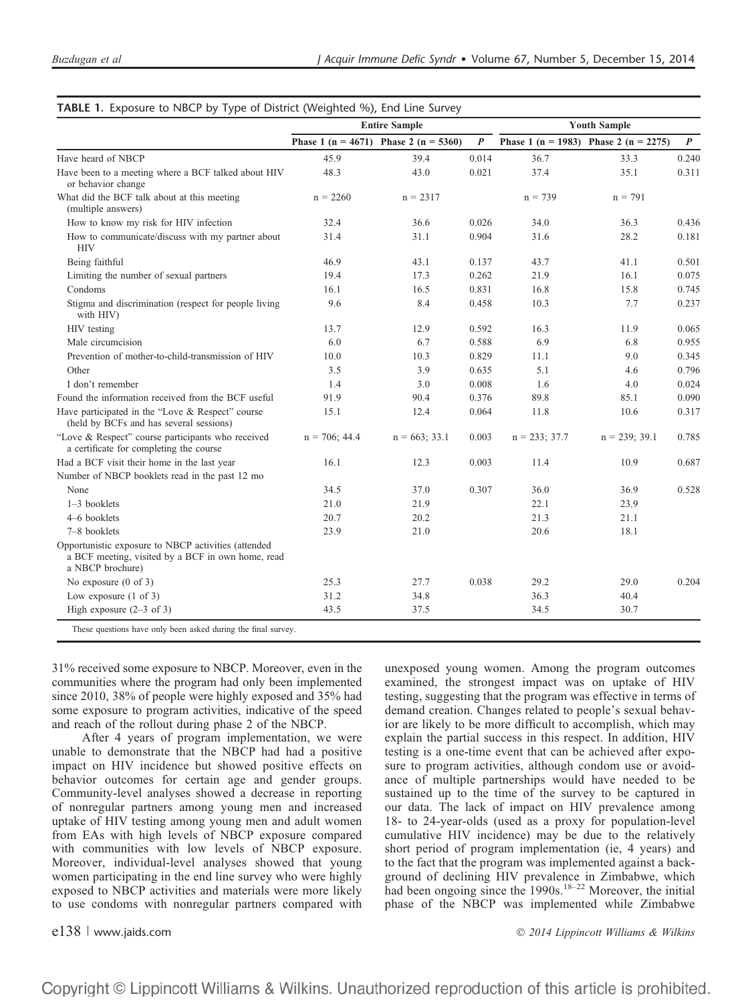|                                                                                                                              |                  | <b>Entire Sample</b>                          | <b>Youth Sample</b> |                  |                                       |                  |
|------------------------------------------------------------------------------------------------------------------------------|------------------|-----------------------------------------------|---------------------|------------------|---------------------------------------|------------------|
|                                                                                                                              |                  | Phase 1 ( $n = 4671$ ) Phase 2 ( $n = 5360$ ) | $\boldsymbol{P}$    |                  | Phase 1 (n = 1983) Phase 2 (n = 2275) | $\boldsymbol{P}$ |
| Have heard of NBCP                                                                                                           | 45.9             | 39.4                                          | 0.014               | 36.7             | 33.3                                  | 0.240            |
| Have been to a meeting where a BCF talked about HIV<br>or behavior change                                                    | 48.3             | 43.0                                          | 0.021               | 37.4             | 35.1                                  | 0.311            |
| What did the BCF talk about at this meeting<br>(multiple answers)                                                            | $n = 2260$       | $n = 2317$                                    |                     | $n = 739$        | $n = 791$                             |                  |
| How to know my risk for HIV infection                                                                                        | 32.4             | 36.6                                          | 0.026               | 34.0             | 36.3                                  | 0.436            |
| How to communicate/discuss with my partner about<br><b>HIV</b>                                                               | 31.4             | 31.1                                          | 0.904               | 31.6             | 28.2                                  | 0.181            |
| Being faithful                                                                                                               | 46.9             | 43.1                                          | 0.137               | 43.7             | 41.1                                  | 0.501            |
| Limiting the number of sexual partners                                                                                       | 19.4             | 17.3                                          | 0.262               | 21.9             | 16.1                                  | 0.075            |
| Condoms                                                                                                                      | 16.1             | 16.5                                          | 0.831               | 16.8             | 15.8                                  | 0.745            |
| Stigma and discrimination (respect for people living<br>with HIV)                                                            | 9.6              | 8.4                                           | 0.458               | 10.3             | 7.7                                   | 0.237            |
| HIV testing                                                                                                                  | 13.7             | 12.9                                          | 0.592               | 16.3             | 11.9                                  | 0.065            |
| Male circumcision                                                                                                            | 6.0              | 6.7                                           | 0.588               | 6.9              | 6.8                                   | 0.955            |
| Prevention of mother-to-child-transmission of HIV                                                                            | 10.0             | 10.3                                          | 0.829               | 11.1             | 9.0                                   | 0.345            |
| Other                                                                                                                        | 3.5              | 3.9                                           | 0.635               | 5.1              | 4.6                                   | 0.796            |
| I don't remember                                                                                                             | 1.4              | 3.0                                           | 0.008               | 1.6              | 4.0                                   | 0.024            |
| Found the information received from the BCF useful                                                                           | 91.9             | 90.4                                          | 0.376               | 89.8             | 85.1                                  | 0.090            |
| Have participated in the "Love & Respect" course<br>(held by BCFs and has several sessions)                                  | 15.1             | 12.4                                          | 0.064               | 11.8             | 10.6                                  | 0.317            |
| "Love & Respect" course participants who received<br>a certificate for completing the course                                 | $n = 706$ ; 44.4 | $n = 663$ ; 33.1                              | 0.003               | $n = 233$ ; 37.7 | $n = 239; 39.1$                       | 0.785            |
| Had a BCF visit their home in the last year                                                                                  | 16.1             | 12.3                                          | 0.003               | 11.4             | 10.9                                  | 0.687            |
| Number of NBCP booklets read in the past 12 mo                                                                               |                  |                                               |                     |                  |                                       |                  |
| None                                                                                                                         | 34.5             | 37.0                                          | 0.307               | 36.0             | 36.9                                  | 0.528            |
| 1-3 booklets                                                                                                                 | 21.0             | 21.9                                          |                     | 22.1             | 23.9                                  |                  |
| 4–6 booklets                                                                                                                 | 20.7             | 20.2                                          |                     | 21.3             | 21.1                                  |                  |
| 7-8 booklets                                                                                                                 | 23.9             | 21.0                                          |                     | 20.6             | 18.1                                  |                  |
| Opportunistic exposure to NBCP activities (attended<br>a BCF meeting, visited by a BCF in own home, read<br>a NBCP brochure) |                  |                                               |                     |                  |                                       |                  |
| No exposure $(0 \text{ of } 3)$                                                                                              | 25.3             | 27.7                                          | 0.038               | 29.2             | 29.0                                  | 0.204            |
| Low exposure $(1 \text{ of } 3)$                                                                                             | 31.2             | 34.8                                          |                     | 36.3             | 40.4                                  |                  |
| High exposure $(2-3$ of 3)                                                                                                   | 43.5             | 37.5                                          |                     | 34.5             | 30.7                                  |                  |

# TABLE 1. Exposure to NBCP by Type of District (Weighted %), End Line Survey

31% received some exposure to NBCP. Moreover, even in the communities where the program had only been implemented since 2010, 38% of people were highly exposed and 35% had some exposure to program activities, indicative of the speed and reach of the rollout during phase 2 of the NBCP.

After 4 years of program implementation, we were unable to demonstrate that the NBCP had had a positive impact on HIV incidence but showed positive effects on behavior outcomes for certain age and gender groups. Community-level analyses showed a decrease in reporting of nonregular partners among young men and increased uptake of HIV testing among young men and adult women from EAs with high levels of NBCP exposure compared with communities with low levels of NBCP exposure. Moreover, individual-level analyses showed that young women participating in the end line survey who were highly exposed to NBCP activities and materials were more likely to use condoms with nonregular partners compared with

unexposed young women. Among the program outcomes examined, the strongest impact was on uptake of HIV testing, suggesting that the program was effective in terms of demand creation. Changes related to people's sexual behavior are likely to be more difficult to accomplish, which may explain the partial success in this respect. In addition, HIV testing is a one-time event that can be achieved after exposure to program activities, although condom use or avoidance of multiple partnerships would have needed to be sustained up to the time of the survey to be captured in our data. The lack of impact on HIV prevalence among 18- to 24-year-olds (used as a proxy for population-level cumulative HIV incidence) may be due to the relatively short period of program implementation (ie, 4 years) and to the fact that the program was implemented against a background of declining HIV prevalence in Zimbabwe, which had been ongoing since the 1990s.<sup>18–22</sup> Moreover, the initial phase of the NBCP was implemented while Zimbabwe

e138 | www.jaids.com 2014 Lippincott Williams & Wilkins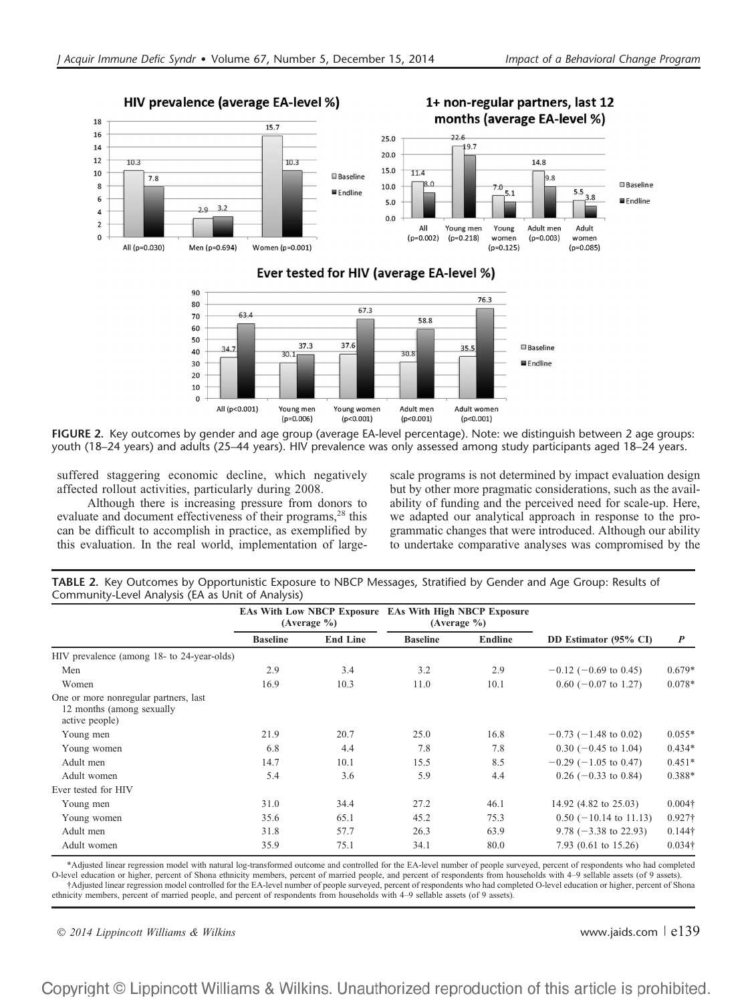

FIGURE 2. Key outcomes by gender and age group (average EA-level percentage). Note: we distinguish between 2 age groups: youth (18–24 years) and adults (25–44 years). HIV prevalence was only assessed among study participants aged 18–24 years.

Young women

 $(p<0.001)$ 

Adult men

 $(p<0.001)$ 

Adult women

 $(p<0.001)$ 

suffered staggering economic decline, which negatively affected rollout activities, particularly during 2008.

All (p<0.001)

Young men

 $(p=0.006)$ 

Although there is increasing pressure from donors to evaluate and document effectiveness of their programs,<sup>28</sup> this can be difficult to accomplish in practice, as exemplified by this evaluation. In the real world, implementation of largescale programs is not determined by impact evaluation design but by other more pragmatic considerations, such as the availability of funding and the perceived need for scale-up. Here, we adapted our analytical approach in response to the programmatic changes that were introduced. Although our ability to undertake comparative analyses was compromised by the

TABLE 2. Key Outcomes by Opportunistic Exposure to NBCP Messages, Stratified by Gender and Age Group: Results of Community-Level Analysis (EA as Unit of Analysis)

|                                                                                      | <b>EAs With Low NBCP Exposure EAs With High NBCP Exposure</b><br>(Average %) |                 |                 | (Average %)    |                                  |                  |
|--------------------------------------------------------------------------------------|------------------------------------------------------------------------------|-----------------|-----------------|----------------|----------------------------------|------------------|
|                                                                                      | <b>Baseline</b>                                                              | <b>End Line</b> | <b>Baseline</b> | <b>Endline</b> | DD Estimator (95% CI)            | $\boldsymbol{P}$ |
| HIV prevalence (among 18- to 24-year-olds)                                           |                                                                              |                 |                 |                |                                  |                  |
| Men                                                                                  | 2.9                                                                          | 3.4             | 3.2             | 2.9            | $-0.12$ (-0.69 to 0.45)          | $0.679*$         |
| Women                                                                                | 16.9                                                                         | 10.3            | 11.0            | 10.1           | $0.60$ (-0.07 to 1.27)           | $0.078*$         |
| One or more nonregular partners, last<br>12 months (among sexually<br>active people) |                                                                              |                 |                 |                |                                  |                  |
| Young men                                                                            | 21.9                                                                         | 20.7            | 25.0            | 16.8           | $-0.73$ (-1.48 to 0.02)          | $0.055*$         |
| Young women                                                                          | 6.8                                                                          | 4.4             | 7.8             | 7.8            | $0.30$ (-0.45 to 1.04)           | $0.434*$         |
| Adult men                                                                            | 14.7                                                                         | 10.1            | 15.5            | 8.5            | $-0.29$ ( $-1.05$ to 0.47)       | $0.451*$         |
| Adult women                                                                          | 5.4                                                                          | 3.6             | 5.9             | 4.4            | $0.26$ (-0.33 to 0.84)           | $0.388*$         |
| Ever tested for HIV                                                                  |                                                                              |                 |                 |                |                                  |                  |
| Young men                                                                            | 31.0                                                                         | 34.4            | 27.2            | 46.1           | 14.92 (4.82 to 25.03)            | $0.004\dagger$   |
| Young women                                                                          | 35.6                                                                         | 65.1            | 45.2            | 75.3           | $0.50$ (-10.14 to 11.13)         | $0.927\dagger$   |
| Adult men                                                                            | 31.8                                                                         | 57.7            | 26.3            | 63.9           | $9.78 (-3.38 \text{ to } 22.93)$ | $0.144\dagger$   |
| Adult women                                                                          | 35.9                                                                         | 75.1            | 34.1            | 80.0           | 7.93 $(0.61 \text{ to } 15.26)$  | $0.034\dagger$   |

\*Adjusted linear regression model with natural log-transformed outcome and controlled for the EA-level number of people surveyed, percent of respondents who had completed O-level education or higher, percent of Shona ethnicity members, percent of married people, and percent of respondents from households with 4–9 sellable assets (of 9 assets). †Adjusted linear regression model controlled for the EA-level number of people surveyed, percent of respondents who had completed O-level education or higher, percent of Shona

ethnicity members, percent of married people, and percent of respondents from households with 4–9 sellable assets (of 9 assets).

2014 Lippincott Williams & Wilkins www.jaids.com <sup>|</sup> e139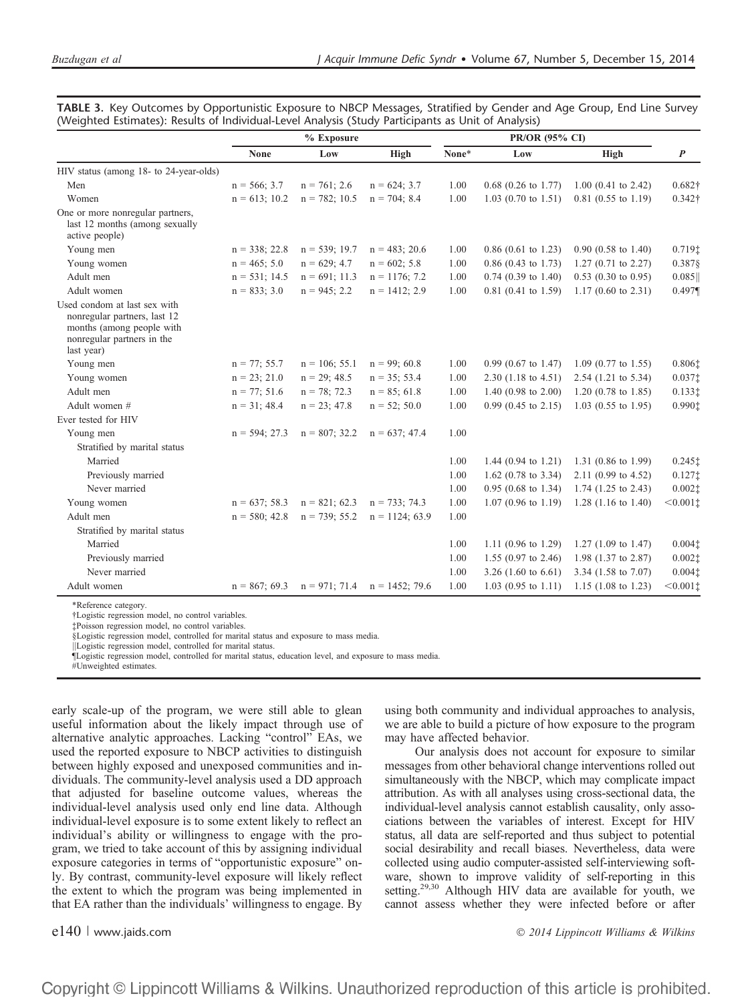| TABLE 3. Key Outcomes by Opportunistic Exposure to NBCP Messages, Stratified by Gender and Age Group, End Line Survey |  |  |  |  |
|-----------------------------------------------------------------------------------------------------------------------|--|--|--|--|
| (Weighted Estimates): Results of Individual-Level Analysis (Study Participants as Unit of Analysis)                   |  |  |  |  |

|                                                                                                                                       | $%$ Exposure     |                  |                   | PR/OR (95% CI) |                                |                                  |                                         |
|---------------------------------------------------------------------------------------------------------------------------------------|------------------|------------------|-------------------|----------------|--------------------------------|----------------------------------|-----------------------------------------|
|                                                                                                                                       | <b>None</b>      | Low              | High              | None*          | Low                            | High                             | $\boldsymbol{P}$                        |
| HIV status (among 18- to 24-year-olds)                                                                                                |                  |                  |                   |                |                                |                                  |                                         |
| Men                                                                                                                                   | $n = 566; 3.7$   | $n = 761$ ; 2.6  | $n = 624$ ; 3.7   | 1.00           | $0.68$ (0.26 to 1.77)          | $1.00$ (0.41 to 2.42)            | $0.682\dagger$                          |
| Women                                                                                                                                 | $n = 613:10.2$   | $n = 782: 10.5$  | $n = 704$ ; 8.4   | 1.00           | 1.03 (0.70 to 1.51)            | 0.81 (0.55 to 1.19)              | $0.342\dagger$                          |
| One or more nonregular partners,<br>last 12 months (among sexually<br>active people)                                                  |                  |                  |                   |                |                                |                                  |                                         |
| Young men                                                                                                                             | $n = 338$ ; 22.8 | $n = 539; 19.7$  | $n = 483$ ; 20.6  | 1.00           | $0.86$ (0.61 to 1.23)          | $0.90$ $(0.58 \text{ to } 1.40)$ | $0.719$ <sup><math>\dagger</math></sup> |
| Young women                                                                                                                           | $n = 465$ ; 5.0  | $n = 629; 4.7$   | $n = 602$ ; 5.8   | 1.00           | $0.86$ (0.43 to 1.73)          | $1.27(0.71 \text{ to } 2.27)$    | 0.3878                                  |
| Adult men                                                                                                                             | $n = 531$ ; 14.5 | $n = 691$ ; 11.3 | $n = 1176$ ; 7.2  | 1.00           | $0.74$ (0.39 to 1.40)          | $0.53$ (0.30 to 0.95)            | 0.085                                   |
| Adult women                                                                                                                           | $n = 833; 3.0$   | $n = 945$ ; 2.2  | $n = 1412$ ; 2.9  | 1.00           | $0.81$ (0.41 to 1.59)          | $1.17(0.60 \text{ to } 2.31)$    | $0.497\P$                               |
| Used condom at last sex with<br>nonregular partners, last 12<br>months (among people with<br>nonregular partners in the<br>last year) |                  |                  |                   |                |                                |                                  |                                         |
| Young men                                                                                                                             | $n = 77; 55.7$   | $n = 106$ ; 55.1 | $n = 99$ ; 60.8   | 1.00           | $0.99$ (0.67 to 1.47)          | $1.09$ (0.77 to 1.55)            | 0.806‡                                  |
| Young women                                                                                                                           | $n = 23; 21.0$   | $n = 29$ ; 48.5  | $n = 35; 53.4$    | 1.00           | $2.30$ (1.18 to 4.51)          | $2.54$ (1.21 to 5.34)            | $0.037$ t                               |
| Adult men                                                                                                                             | $n = 77$ ; 51.6  | $n = 78$ ; 72.3  | $n = 85$ ; 61.8   | 1.00           | 1.40 $(0.98 \text{ to } 2.00)$ | $1.20$ (0.78 to 1.85)            | 0.1331                                  |
| Adult women #                                                                                                                         | $n = 31$ ; 48.4  | $n = 23$ ; 47.8  | $n = 52; 50.0$    | 1.00           | $0.99$ (0.45 to 2.15)          | $1.03$ (0.55 to 1.95)            | 0.990‡                                  |
| Ever tested for HIV                                                                                                                   |                  |                  |                   |                |                                |                                  |                                         |
| Young men                                                                                                                             | $n = 594; 27.3$  | $n = 807; 32.2$  | $n = 637; 47.4$   | 1.00           |                                |                                  |                                         |
| Stratified by marital status                                                                                                          |                  |                  |                   |                |                                |                                  |                                         |
| Married                                                                                                                               |                  |                  |                   | 1.00           | 1.44 $(0.94 \text{ to } 1.21)$ | 1.31 $(0.86 \text{ to } 1.99)$   | $0.245$ t                               |
| Previously married                                                                                                                    |                  |                  |                   | 1.00           | 1.62 (0.78 to 3.34)            | 2.11 (0.99 to 4.52)              | 0.127                                   |
| Never married                                                                                                                         |                  |                  |                   | 1.00           | $0.95$ (0.68 to 1.34)          | 1.74 (1.25 to 2.43)              | 0.0021                                  |
| Young women                                                                                                                           | $n = 637$ ; 58.3 | $n = 821$ ; 62.3 | $n = 733$ ; 74.3  | 1.00           | $1.07$ (0.96 to 1.19)          | 1.28 $(1.16 \text{ to } 1.40)$   | < 0.0011                                |
| Adult men                                                                                                                             | $n = 580$ ; 42.8 | $n = 739$ ; 55.2 | $n = 1124$ ; 63.9 | 1.00           |                                |                                  |                                         |
| Stratified by marital status                                                                                                          |                  |                  |                   |                |                                |                                  |                                         |
| Married                                                                                                                               |                  |                  |                   | 1.00           | 1.11 (0.96 to 1.29)            | 1.27 $(1.09 \text{ to } 1.47)$   | 0.0041                                  |
| Previously married                                                                                                                    |                  |                  |                   | 1.00           | 1.55 (0.97 to 2.46)            | 1.98 (1.37 to 2.87)              | $0.002$ ‡                               |
| Never married                                                                                                                         |                  |                  |                   | 1.00           | 3.26 $(1.60 \text{ to } 6.61)$ | 3.34 (1.58 to 7.07)              | $0.004$ t                               |
| Adult women                                                                                                                           | $n = 867; 69.3$  | $n = 971$ ; 71.4 | $n = 1452$ ; 79.6 | 1.00           | $1.03$ (0.95 to 1.11)          | 1.15 $(1.08 \text{ to } 1.23)$   | $< 0.001$ t                             |

\*Reference category.

†Logistic regression model, no control variables.

‡Poisson regression model, no control variables.

§Logistic regression model, controlled for marital status and exposure to mass media.

||Logistic regression model, controlled for marital status.

¶Logistic regression model, controlled for marital status, education level, and exposure to mass media.

#Unweighted estimates.

early scale-up of the program, we were still able to glean useful information about the likely impact through use of alternative analytic approaches. Lacking "control" EAs, we used the reported exposure to NBCP activities to distinguish between highly exposed and unexposed communities and individuals. The community-level analysis used a DD approach that adjusted for baseline outcome values, whereas the individual-level analysis used only end line data. Although individual-level exposure is to some extent likely to reflect an individual's ability or willingness to engage with the program, we tried to take account of this by assigning individual exposure categories in terms of "opportunistic exposure" only. By contrast, community-level exposure will likely reflect the extent to which the program was being implemented in that EA rather than the individuals' willingness to engage. By

using both community and individual approaches to analysis, we are able to build a picture of how exposure to the program may have affected behavior.

Our analysis does not account for exposure to similar messages from other behavioral change interventions rolled out simultaneously with the NBCP, which may complicate impact attribution. As with all analyses using cross-sectional data, the individual-level analysis cannot establish causality, only associations between the variables of interest. Except for HIV status, all data are self-reported and thus subject to potential social desirability and recall biases. Nevertheless, data were collected using audio computer-assisted self-interviewing software, shown to improve validity of self-reporting in this setting.<sup>29,30</sup> Although HIV data are available for youth, we cannot assess whether they were infected before or after

e140 | www.jaids.com 2014 Lippincott Williams & Wilkins